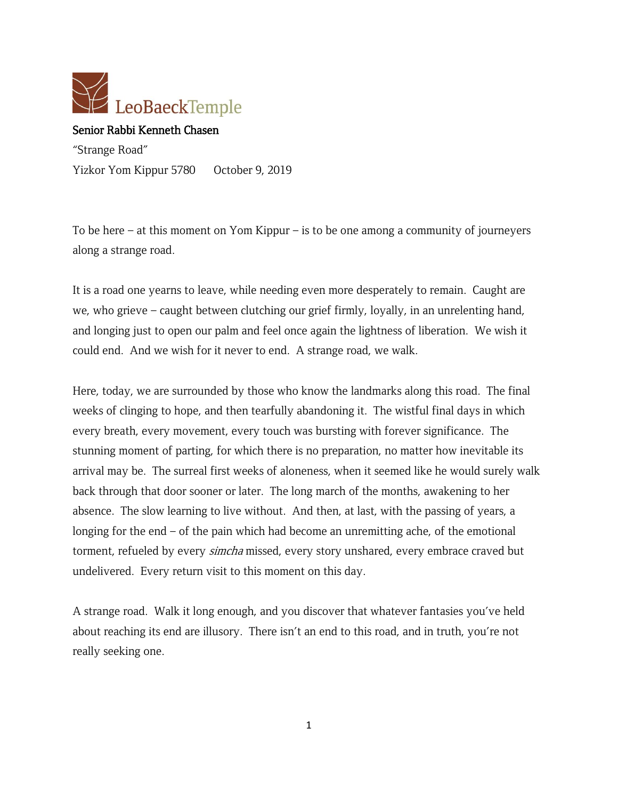

## Senior Rabbi Kenneth Chasen

"Strange Road" Yizkor Yom Kippur 5780 October 9, 2019

To be here – at this moment on Yom Kippur – is to be one among a community of journeyers along a strange road.

It is a road one yearns to leave, while needing even more desperately to remain. Caught are we, who grieve – caught between clutching our grief firmly, loyally, in an unrelenting hand, and longing just to open our palm and feel once again the lightness of liberation. We wish it could end. And we wish for it never to end. A strange road, we walk.

Here, today, we are surrounded by those who know the landmarks along this road. The final weeks of clinging to hope, and then tearfully abandoning it. The wistful final days in which every breath, every movement, every touch was bursting with forever significance. The stunning moment of parting, for which there is no preparation, no matter how inevitable its arrival may be. The surreal first weeks of aloneness, when it seemed like he would surely walk back through that door sooner or later. The long march of the months, awakening to her absence. The slow learning to live without. And then, at last, with the passing of years, a longing for the end – of the pain which had become an unremitting ache, of the emotional torment, refueled by every *simcha* missed, every story unshared, every embrace craved but undelivered. Every return visit to this moment on this day.

A strange road. Walk it long enough, and you discover that whatever fantasies you've held about reaching its end are illusory. There isn't an end to this road, and in truth, you're not really seeking one.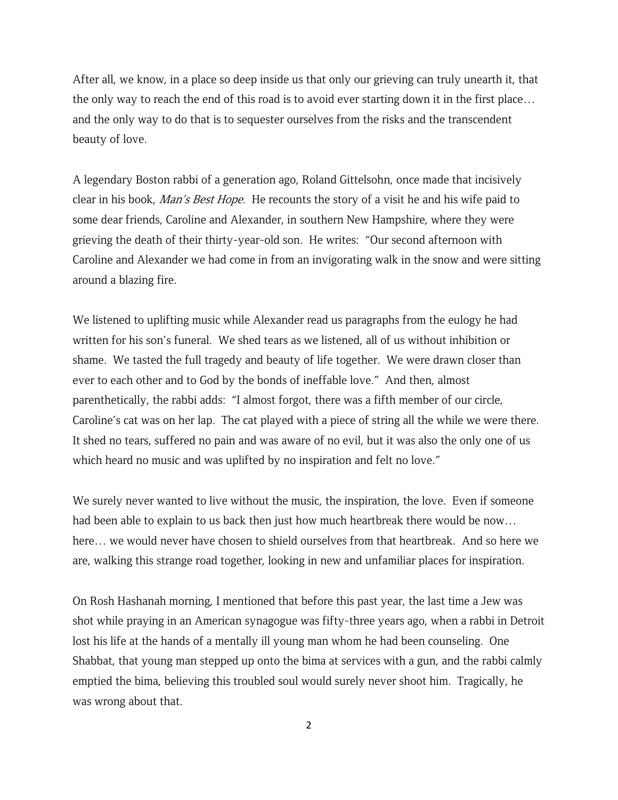After all, we know, in a place so deep inside us that only our grieving can truly unearth it, that the only way to reach the end of this road is to avoid ever starting down it in the first place… and the only way to do that is to sequester ourselves from the risks and the transcendent beauty of love.

A legendary Boston rabbi of a generation ago, Roland Gittelsohn, once made that incisively clear in his book, Man's Best Hope. He recounts the story of a visit he and his wife paid to some dear friends, Caroline and Alexander, in southern New Hampshire, where they were grieving the death of their thirty-year-old son. He writes: "Our second afternoon with Caroline and Alexander we had come in from an invigorating walk in the snow and were sitting around a blazing fire.

We listened to uplifting music while Alexander read us paragraphs from the eulogy he had written for his son's funeral. We shed tears as we listened, all of us without inhibition or shame. We tasted the full tragedy and beauty of life together. We were drawn closer than ever to each other and to God by the bonds of ineffable love." And then, almost parenthetically, the rabbi adds: "I almost forgot, there was a fifth member of our circle, Caroline's cat was on her lap. The cat played with a piece of string all the while we were there. It shed no tears, suffered no pain and was aware of no evil, but it was also the only one of us which heard no music and was uplifted by no inspiration and felt no love."

We surely never wanted to live without the music, the inspiration, the love. Even if someone had been able to explain to us back then just how much heartbreak there would be now… here… we would never have chosen to shield ourselves from that heartbreak. And so here we are, walking this strange road together, looking in new and unfamiliar places for inspiration.

On Rosh Hashanah morning, I mentioned that before this past year, the last time a Jew was shot while praying in an American synagogue was fifty-three years ago, when a rabbi in Detroit lost his life at the hands of a mentally ill young man whom he had been counseling. One Shabbat, that young man stepped up onto the bima at services with a gun, and the rabbi calmly emptied the bima, believing this troubled soul would surely never shoot him. Tragically, he was wrong about that.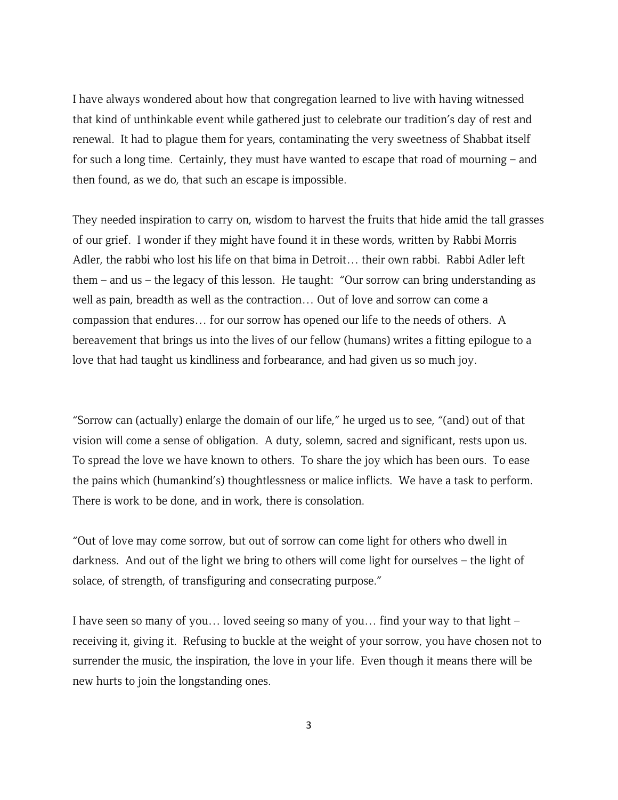I have always wondered about how that congregation learned to live with having witnessed that kind of unthinkable event while gathered just to celebrate our tradition's day of rest and renewal. It had to plague them for years, contaminating the very sweetness of Shabbat itself for such a long time. Certainly, they must have wanted to escape that road of mourning – and then found, as we do, that such an escape is impossible.

They needed inspiration to carry on, wisdom to harvest the fruits that hide amid the tall grasses of our grief. I wonder if they might have found it in these words, written by Rabbi Morris Adler, the rabbi who lost his life on that bima in Detroit… their own rabbi. Rabbi Adler left them – and us – the legacy of this lesson. He taught: "Our sorrow can bring understanding as well as pain, breadth as well as the contraction… Out of love and sorrow can come a compassion that endures… for our sorrow has opened our life to the needs of others. A bereavement that brings us into the lives of our fellow (humans) writes a fitting epilogue to a love that had taught us kindliness and forbearance, and had given us so much joy.

"Sorrow can (actually) enlarge the domain of our life," he urged us to see, "(and) out of that vision will come a sense of obligation. A duty, solemn, sacred and significant, rests upon us. To spread the love we have known to others. To share the joy which has been ours. To ease the pains which (humankind's) thoughtlessness or malice inflicts. We have a task to perform. There is work to be done, and in work, there is consolation.

"Out of love may come sorrow, but out of sorrow can come light for others who dwell in darkness. And out of the light we bring to others will come light for ourselves – the light of solace, of strength, of transfiguring and consecrating purpose."

I have seen so many of you… loved seeing so many of you… find your way to that light – receiving it, giving it. Refusing to buckle at the weight of your sorrow, you have chosen not to surrender the music, the inspiration, the love in your life. Even though it means there will be new hurts to join the longstanding ones.